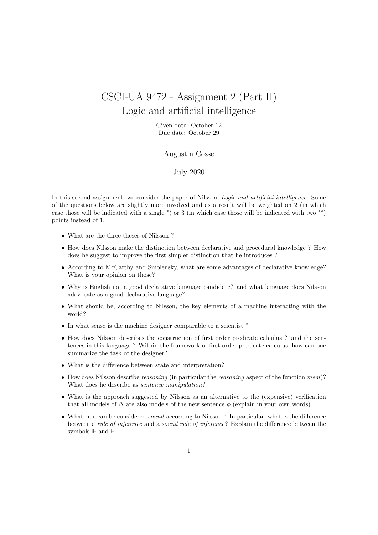## CSCI-UA 9472 - Assignment 2 (Part II) Logic and artificial intelligence

Given date: October 12 Due date: October 29

## Augustin Cosse

## July 2020

In this second assignment, we consider the paper of Nilsson, *Logic and artificial intelligence*. Some of the questions below are slightly more involved and as a result will be weighted on 2 (in which case those will be indicated with a single <sup>∗</sup> ) or 3 (in which case those will be indicated with two ∗∗) points instead of 1.

- What are the three theses of Nilsson ?
- How does Nilsson make the distinction between declarative and procedural knowledge ? How does he suggest to improve the first simpler distinction that he introduces ?
- According to McCarthy and Smolensky, what are some advantages of declarative knowledge? What is your opinion on those?
- Why is English not a good declarative language candidate? and what language does Nilsson adovocate as a good declarative language?
- What should be, according to Nilsson, the key elements of a machine interacting with the world?
- In what sense is the machine designer comparable to a scientist ?
- How does Nilsson describes the construction of first order predicate calculus ? and the sentences in this language ? Within the framework of first order predicate calculus, how can one summarize the task of the designer?
- What is the difference between state and interpretation?
- How does Nilsson describe *reasoning* (in particular the *reasoning* aspect of the function mem)? What does he describe as sentence manipulation?
- What is the approach suggested by Nilsson as an alternative to the (expensive) verification that all models of  $\Delta$  are also models of the new sentence  $\phi$  (explain in your own words)
- What rule can be considered *sound* according to Nilsson? In particular, what is the difference between a rule of inference and a sound rule of inference? Explain the difference between the symbols  $\Vdash$  and  $\vdash$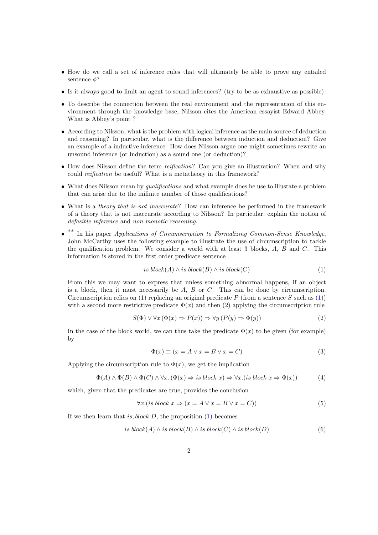- How do we call a set of inference rules that will ultimately be able to prove any entailed sentence  $\phi$ ?
- Is it always good to limit an agent to sound inferences? (try to be as exhaustive as possible)
- To describe the connection between the real environment and the representation of this environment through the knowledge base, Nilsson cites the American essayist Edward Abbey. What is Abbey's point ?
- According to Nilsson, what is the problem with logical inference as the main source of deduction and reasoning? In particular, what is the difference between induction and deduction? Give an example of a inductive inference. How does Nilsson argue one might sometimes rewrite an unsound inference (or induction) as a sound one (or deduction)?
- How does Nilsson define the term *reification*? Can you give an illustration? When and why could reification be useful? What is a metatheory in this framework?
- What does Nilsson mean by *qualifications* and what example does he use to illustate a problem that can arise due to the inifinite number of those qualifications?
- What is a theory that is not inaccurate? How can inference be performed in the framework of a theory that is not inaccurate according to Nilsson? In particular, explain the notion of defasible inference and non monotic reasoning.
- \*\* In his paper Applications of Circumscription to Formalizing Common-Sense Knowledge, John McCarthy uses the following example to illustrate the use of circumscription to tackle the qualification problem. We consider a world with at least 3 blocks,  $A, B$  and  $C$ . This information is stored in the first order predicate sentence

<span id="page-1-0"></span>
$$
is \, block(A) \land is \, block(B) \land is \, block(C) \tag{1}
$$

From this we may want to express that unless something abnormal happens, if an object is a block, then it must necessarily be  $A$ ,  $B$  or  $C$ . This can be done by circumscription. Circumscription relies on [\(1\)](#page-1-0) replacing an original predicate P (from a sentence S such as (1)) with a second more restrictive predicate  $\Phi(x)$  and then (2) applying the circumscription rule

$$
S(\Phi) \lor \forall x (\Phi(x) \Rightarrow P(x)) \Rightarrow \forall y (P(y) \Rightarrow \Phi(y))
$$
\n(2)

In the case of the block world, we can thus take the predicate  $\Phi(x)$  to be given (for example) by

<span id="page-1-1"></span>
$$
\Phi(x) \equiv (x = A \lor x = B \lor x = C)
$$
\n(3)

Applying the circumscription rule to  $\Phi(x)$ , we get the implication

$$
\Phi(A) \land \Phi(B) \land \Phi(C) \land \forall x. (\Phi(x) \Rightarrow is \ block \ x) \Rightarrow \forall x. (is \ block \ x \Rightarrow \Phi(x))
$$
 (4)

which, given that the predicates are true, provides the conclusion

$$
\forall x. (is block \ x \Rightarrow (x = A \lor x = B \lor x = C)) \tag{5}
$$

If we then learn that is; block  $D$ , the proposition  $(1)$  becomes

$$
is block(A) \land is block(B) \land is block(C) \land is block(D)
$$
\n
$$
(6)
$$